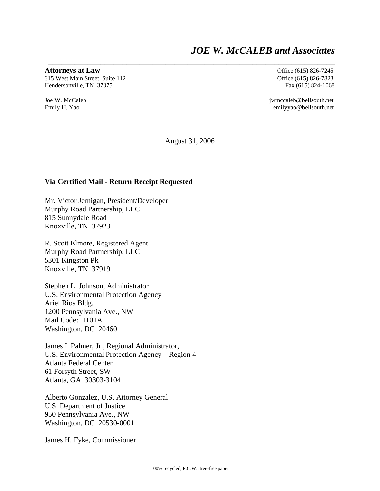# *JOE W. McCALEB and Associates*

**Attorneys at Law Office** (615) 826-7245

315 West Main Street, Suite 112 Office (615) 826-7823 Hendersonville, TN 37075 Fax (615) 824-1068

Joe W. McCaleb jwmccaleb@bellsouth.net Emily H. Yao emilyyao@bellsouth.net

August 31, 2006

**\_\_\_\_\_\_\_\_\_\_\_\_\_\_\_\_\_\_\_\_\_\_\_\_\_\_\_\_\_\_\_\_\_\_\_\_\_\_\_\_\_\_\_\_\_\_\_\_\_\_\_\_\_\_\_\_\_\_\_\_\_\_\_\_\_\_** 

#### **Via Certified Mail - Return Receipt Requested**

Mr. Victor Jernigan, President/Developer Murphy Road Partnership, LLC 815 Sunnydale Road Knoxville, TN 37923

R. Scott Elmore, Registered Agent Murphy Road Partnership, LLC 5301 Kingston Pk Knoxville, TN 37919

Stephen L. Johnson, Administrator U.S. Environmental Protection Agency Ariel Rios Bldg. 1200 Pennsylvania Ave., NW Mail Code: 1101A Washington, DC 20460

James I. Palmer, Jr., Regional Administrator, U.S. Environmental Protection Agency – Region 4 Atlanta Federal Center 61 Forsyth Street, SW Atlanta, GA 30303-3104

Alberto Gonzalez, U.S. Attorney General U.S. Department of Justice 950 Pennsylvania Ave., NW Washington, DC 20530-0001

James H. Fyke, Commissioner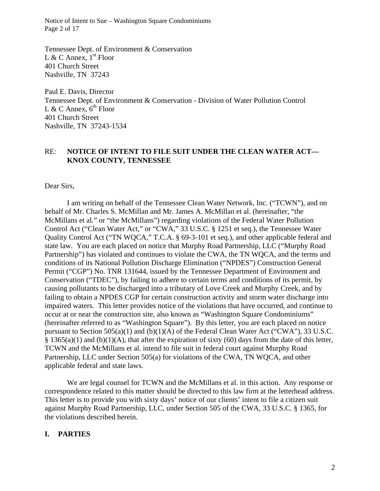Notice of Intent to Sue – Washington Square Condominiums Page 2 of 17

Tennessee Dept. of Environment & Conservation L & C Annex,  $1<sup>st</sup>$  Floor 401 Church Street Nashville, TN 37243

Paul E. Davis, Director Tennessee Dept. of Environment & Conservation - Division of Water Pollution Control L & C Annex,  $6^{\text{th}}$  Floor 401 Church Street Nashville, TN 37243-1534

#### RE: **NOTICE OF INTENT TO FILE SUIT UNDER THE CLEAN WATER ACT— KNOX COUNTY, TENNESSEE**

Dear Sirs,

I am writing on behalf of the Tennessee Clean Water Network, Inc. ("TCWN"), and on behalf of Mr. Charles S. McMillan and Mr. James A. McMillan et al. (hereinafter, "the McMillans et al." or "the McMillans") regarding violations of the Federal Water Pollution Control Act ("Clean Water Act," or "CWA," 33 U.S.C. § 1251 et seq.), the Tennessee Water Quality Control Act ("TN WQCA," T.C.A. § 69-3-101 et seq.), and other applicable federal and state law. You are each placed on notice that Murphy Road Partnership, LLC ("Murphy Road Partnership") has violated and continues to violate the CWA, the TN WQCA, and the terms and conditions of its National Pollution Discharge Elimination ("NPDES") Construction General Permit ("CGP") No. TNR 131644, issued by the Tennessee Department of Environment and Conservation ("TDEC"), by failing to adhere to certain terms and conditions of its permit, by causing pollutants to be discharged into a tributary of Love Creek and Murphy Creek, and by failing to obtain a NPDES CGP for certain construction activity and storm water discharge into impaired waters. This letter provides notice of the violations that have occurred, and continue to occur at or near the construction site, also known as "Washington Square Condominiums" (hereinafter referred to as "Washington Square"). By this letter, you are each placed on notice pursuant to Section 505(a)(1) and (b)(1)(A) of the Federal Clean Water Act ("CWA"), 33 U.S.C. § 1365(a)(1) and (b)(1)(A), that after the expiration of sixty (60) days from the date of this letter, TCWN and the McMillans et al. intend to file suit in federal court against Murphy Road Partnership, LLC under Section 505(a) for violations of the CWA, TN WQCA, and other applicable federal and state laws.

We are legal counsel for TCWN and the McMillans et al. in this action. Any response or correspondence related to this matter should be directed to this law firm at the letterhead address. This letter is to provide you with sixty days' notice of our clients' intent to file a citizen suit against Murphy Road Partnership, LLC, under Section 505 of the CWA, 33 U.S.C. § 1365, for the violations described herein.

#### **I. PARTIES**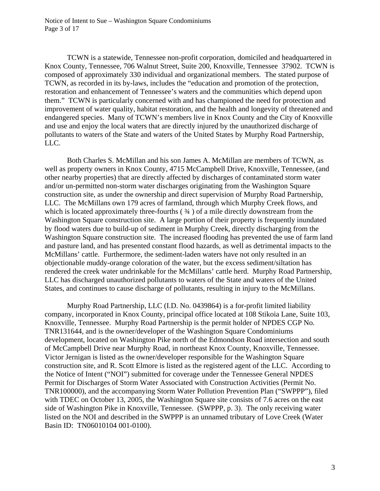Notice of Intent to Sue – Washington Square Condominiums Page 3 of 17

 TCWN is a statewide, Tennessee non-profit corporation, domiciled and headquartered in Knox County, Tennessee, 706 Walnut Street, Suite 200, Knoxville, Tennessee 37902. TCWN is composed of approximately 330 individual and organizational members. The stated purpose of TCWN, as recorded in its by-laws, includes the "education and promotion of the protection, restoration and enhancement of Tennessee's waters and the communities which depend upon them." TCWN is particularly concerned with and has championed the need for protection and improvement of water quality, habitat restoration, and the health and longevity of threatened and endangered species. Many of TCWN's members live in Knox County and the City of Knoxville and use and enjoy the local waters that are directly injured by the unauthorized discharge of pollutants to waters of the State and waters of the United States by Murphy Road Partnership, LLC.

 Both Charles S. McMillan and his son James A. McMillan are members of TCWN, as well as property owners in Knox County, 4715 McCampbell Drive, Knoxville, Tennessee, (and other nearby properties) that are directly affected by discharges of contaminated storm water and/or un-permitted non-storm water discharges originating from the Washington Square construction site, as under the ownership and direct supervision of Murphy Road Partnership, LLC. The McMillans own 179 acres of farmland, through which Murphy Creek flows, and which is located approximately three-fourths  $(34)$  of a mile directly downstream from the Washington Square construction site. A large portion of their property is frequently inundated by flood waters due to build-up of sediment in Murphy Creek, directly discharging from the Washington Square construction site. The increased flooding has prevented the use of farm land and pasture land, and has presented constant flood hazards, as well as detrimental impacts to the McMillans' cattle. Furthermore, the sediment-laden waters have not only resulted in an objectionable muddy-orange coloration of the water, but the excess sediment/siltation has rendered the creek water undrinkable for the McMillans' cattle herd. Murphy Road Partnership, LLC has discharged unauthorized pollutants to waters of the State and waters of the United States, and continues to cause discharge of pollutants, resulting in injury to the McMillans.

 Murphy Road Partnership, LLC (I.D. No. 0439864) is a for-profit limited liability company, incorporated in Knox County, principal office located at 108 Stikoia Lane, Suite 103, Knoxville, Tennessee. Murphy Road Partnership is the permit holder of NPDES CGP No. TNR131644, and is the owner/developer of the Washington Square Condominiums development, located on Washington Pike north of the Edmondson Road intersection and south of McCampbell Drive near Murphy Road, in northeast Knox County, Knoxville, Tennessee. Victor Jernigan is listed as the owner/developer responsible for the Washington Square construction site, and R. Scott Elmore is listed as the registered agent of the LLC. According to the Notice of Intent ("NOI") submitted for coverage under the Tennessee General NPDES Permit for Discharges of Storm Water Associated with Construction Activities (Permit No. TNR100000), and the accompanying Storm Water Pollution Prevention Plan ("SWPPP"), filed with TDEC on October 13, 2005, the Washington Square site consists of 7.6 acres on the east side of Washington Pike in Knoxville, Tennessee. (SWPPP, p. 3). The only receiving water listed on the NOI and described in the SWPPP is an unnamed tributary of Love Creek (Water Basin ID: TN06010104 001-0100).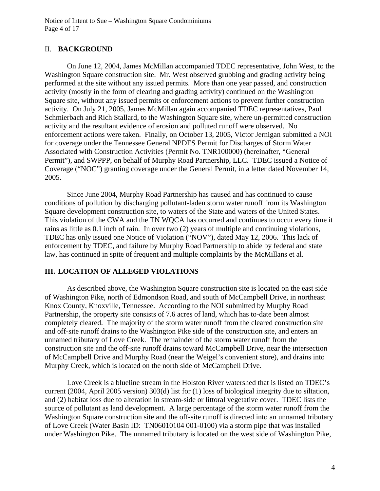Notice of Intent to Sue – Washington Square Condominiums Page 4 of 17

#### II. **BACKGROUND**

On June 12, 2004, James McMillan accompanied TDEC representative, John West, to the Washington Square construction site. Mr. West observed grubbing and grading activity being performed at the site without any issued permits. More than one year passed, and construction activity (mostly in the form of clearing and grading activity) continued on the Washington Square site, without any issued permits or enforcement actions to prevent further construction activity. On July 21, 2005, James McMillan again accompanied TDEC representatives, Paul Schmierbach and Rich Stallard, to the Washington Square site, where un-permitted construction activity and the resultant evidence of erosion and polluted runoff were observed. No enforcement actions were taken. Finally, on October 13, 2005, Victor Jernigan submitted a NOI for coverage under the Tennessee General NPDES Permit for Discharges of Storm Water Associated with Construction Activities (Permit No. TNR100000) (hereinafter, "General Permit"), and SWPPP, on behalf of Murphy Road Partnership, LLC. TDEC issued a Notice of Coverage ("NOC") granting coverage under the General Permit, in a letter dated November 14, 2005.

 Since June 2004, Murphy Road Partnership has caused and has continued to cause conditions of pollution by discharging pollutant-laden storm water runoff from its Washington Square development construction site, to waters of the State and waters of the United States. This violation of the CWA and the TN WQCA has occurred and continues to occur every time it rains as little as 0.1 inch of rain. In over two (2) years of multiple and continuing violations, TDEC has only issued one Notice of Violation ("NOV"), dated May 12, 2006. This lack of enforcement by TDEC, and failure by Murphy Road Partnership to abide by federal and state law, has continued in spite of frequent and multiple complaints by the McMillans et al.

#### **III. LOCATION OF ALLEGED VIOLATIONS**

As described above, the Washington Square construction site is located on the east side of Washington Pike, north of Edmondson Road, and south of McCampbell Drive, in northeast Knox County, Knoxville, Tennessee. According to the NOI submitted by Murphy Road Partnership, the property site consists of 7.6 acres of land, which has to-date been almost completely cleared. The majority of the storm water runoff from the cleared construction site and off-site runoff drains to the Washington Pike side of the construction site, and enters an unnamed tributary of Love Creek. The remainder of the storm water runoff from the construction site and the off-site runoff drains toward McCampbell Drive, near the intersection of McCampbell Drive and Murphy Road (near the Weigel's convenient store), and drains into Murphy Creek, which is located on the north side of McCampbell Drive.

 Love Creek is a blueline stream in the Holston River watershed that is listed on TDEC's current (2004, April 2005 version) 303(d) list for (1) loss of biological integrity due to siltation, and (2) habitat loss due to alteration in stream-side or littoral vegetative cover. TDEC lists the source of pollutant as land development. A large percentage of the storm water runoff from the Washington Square construction site and the off-site runoff is directed into an unnamed tributary of Love Creek (Water Basin ID: TN06010104 001-0100) via a storm pipe that was installed under Washington Pike. The unnamed tributary is located on the west side of Washington Pike,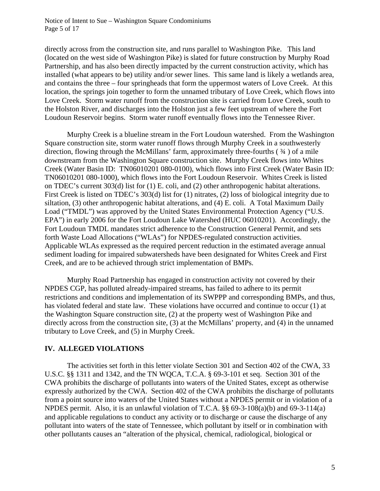Notice of Intent to Sue – Washington Square Condominiums Page 5 of 17

directly across from the construction site, and runs parallel to Washington Pike. This land (located on the west side of Washington Pike) is slated for future construction by Murphy Road Partnership, and has also been directly impacted by the current construction activity, which has installed (what appears to be) utility and/or sewer lines. This same land is likely a wetlands area, and contains the three – four springheads that form the uppermost waters of Love Creek. At this location, the springs join together to form the unnamed tributary of Love Creek, which flows into Love Creek. Storm water runoff from the construction site is carried from Love Creek, south to the Holston River, and discharges into the Holston just a few feet upstream of where the Fort Loudoun Reservoir begins. Storm water runoff eventually flows into the Tennessee River.

 Murphy Creek is a blueline stream in the Fort Loudoun watershed. From the Washington Square construction site, storm water runoff flows through Murphy Creek in a southwesterly direction, flowing through the McMillans' farm, approximately three-fourths ( ¾ ) of a mile downstream from the Washington Square construction site. Murphy Creek flows into Whites Creek (Water Basin ID: TN06010201 080-0100), which flows into First Creek (Water Basin ID: TN06010201 080-1000), which flows into the Fort Loudoun Reservoir. Whites Creek is listed on TDEC's current 303(d) list for (1) E. coli, and (2) other anthropogenic habitat alterations. First Creek is listed on TDEC's 303(d) list for (1) nitrates, (2) loss of biological integrity due to siltation, (3) other anthropogenic habitat alterations, and (4) E. coli. A Total Maximum Daily Load ("TMDL") was approved by the United States Environmental Protection Agency ("U.S. EPA") in early 2006 for the Fort Loudoun Lake Watershed (HUC 06010201). Accordingly, the Fort Loudoun TMDL mandates strict adherence to the Construction General Permit, and sets forth Waste Load Allocations ("WLAs") for NPDES-regulated construction activities. Applicable WLAs expressed as the required percent reduction in the estimated average annual sediment loading for impaired subwatersheds have been designated for Whites Creek and First Creek, and are to be achieved through strict implementation of BMPs.

Murphy Road Partnership has engaged in construction activity not covered by their NPDES CGP, has polluted already-impaired streams, has failed to adhere to its permit restrictions and conditions and implementation of its SWPPP and corresponding BMPs, and thus, has violated federal and state law. These violations have occurred and continue to occur (1) at the Washington Square construction site, (2) at the property west of Washington Pike and directly across from the construction site, (3) at the McMillans' property, and (4) in the unnamed tributary to Love Creek, and (5) in Murphy Creek.

#### **IV. ALLEGED VIOLATIONS**

The activities set forth in this letter violate Section 301 and Section 402 of the CWA, 33 U.S.C. §§ 1311 and 1342, and the TN WQCA, T.C.A. § 69-3-101 et seq. Section 301 of the CWA prohibits the discharge of pollutants into waters of the United States, except as otherwise expressly authorized by the CWA. Section 402 of the CWA prohibits the discharge of pollutants from a point source into waters of the United States without a NPDES permit or in violation of a NPDES permit. Also, it is an unlawful violation of T.C.A. §§ 69-3-108(a)(b) and 69-3-114(a) and applicable regulations to conduct any activity or to discharge or cause the discharge of any pollutant into waters of the state of Tennessee, which pollutant by itself or in combination with other pollutants causes an "alteration of the physical, chemical, radiological, biological or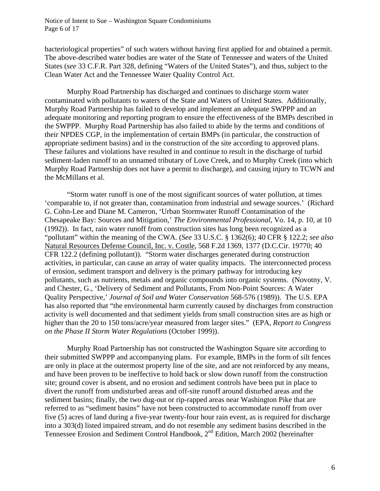Notice of Intent to Sue – Washington Square Condominiums Page 6 of 17

bacteriological properties" of such waters without having first applied for and obtained a permit. The above-described water bodies are water of the State of Tennessee and waters of the United States (*see* 33 C.F.R. Part 328, defining "Waters of the United States"), and thus, subject to the Clean Water Act and the Tennessee Water Quality Control Act.

 Murphy Road Partnership has discharged and continues to discharge storm water contaminated with pollutants to waters of the State and Waters of United States. Additionally, Murphy Road Partnership has failed to develop and implement an adequate SWPPP and an adequate monitoring and reporting program to ensure the effectiveness of the BMPs described in the SWPPP. Murphy Road Partnership has also failed to abide by the terms and conditions of their NPDES CGP, in the implementation of certain BMPs (in particular, the construction of appropriate sediment basins) and in the construction of the site according to approved plans. These failures and violations have resulted in and continue to result in the discharge of turbid sediment-laden runoff to an unnamed tributary of Love Creek, and to Murphy Creek (into which Murphy Road Partnership does not have a permit to discharge), and causing injury to TCWN and the McMillans et al.

"Storm water runoff is one of the most significant sources of water pollution, at times 'comparable to, if not greater than, contamination from industrial and sewage sources.' (Richard G. Cohn-Lee and Diane M. Cameron, 'Urban Stormwater Runoff Contamination of the Chesapeake Bay: Sources and Mitigation,' *The Environmental Professional*, Vo. 14, p. 10, at 10 (1992)). In fact, rain water runoff from construction sites has long been recognized as a "pollutant" within the meaning of the CWA. (*See* 33 U.S.C. § 1362(6); 40 CFR § 122.2; *see also* Natural Resources Defense Council, Inc. v. Costle, 568 F.2d 1369, 1377 (D.C.Cir. 19770; 40 CFR 122.2 (defining pollutant)). "Storm water discharges generated during construction activities, in particular, can cause an array of water quality impacts. The interconnected process of erosion, sediment transport and delivery is the primary pathway for introducing key pollutants, such as nutrients, metals and organic compounds into organic systems. (Novotny, V. and Chester, G., 'Delivery of Sediment and Pollutants, From Non-Point Sources: A Water Quality Perspective,' *Journal of Soil and Water Conservation* 568-576 (1989)). The U.S. EPA has also reported that "the environmental harm currently caused by discharges from construction activity is well documented and that sediment yields from small construction sites are as high or higher than the 20 to 150 tons/acre/year measured from larger sites." (EPA, *Report to Congress on the Phase II Storm Water Regulations* (October 1999)).

 Murphy Road Partnership has not constructed the Washington Square site according to their submitted SWPPP and accompanying plans. For example, BMPs in the form of silt fences are only in place at the outermost property line of the site, and are not reinforced by any means, and have been proven to be ineffective to hold back or slow down runoff from the construction site; ground cover is absent, and no erosion and sediment controls have been put in place to divert the runoff from undisturbed areas and off-site runoff around disturbed areas and the sediment basins; finally, the two dug-out or rip-rapped areas near Washington Pike that are referred to as "sediment basins" have not been constructed to accommodate runoff from over five (5) acres of land during a five-year twenty-four hour rain event, as is required for discharge into a 303(d) listed impaired stream, and do not resemble any sediment basins described in the Tennessee Erosion and Sediment Control Handbook, 2nd Edition, March 2002 (hereinafter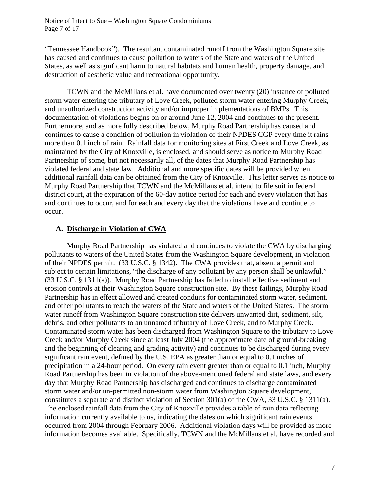"Tennessee Handbook"). The resultant contaminated runoff from the Washington Square site has caused and continues to cause pollution to waters of the State and waters of the United States, as well as significant harm to natural habitats and human health, property damage, and destruction of aesthetic value and recreational opportunity.

 TCWN and the McMillans et al. have documented over twenty (20) instance of polluted storm water entering the tributary of Love Creek, polluted storm water entering Murphy Creek, and unauthorized construction activity and/or improper implementations of BMPs. This documentation of violations begins on or around June 12, 2004 and continues to the present. Furthermore, and as more fully described below, Murphy Road Partnership has caused and continues to cause a condition of pollution in violation of their NPDES CGP every time it rains more than 0.1 inch of rain. Rainfall data for monitoring sites at First Creek and Love Creek, as maintained by the City of Knoxville, is enclosed, and should serve as notice to Murphy Road Partnership of some, but not necessarily all, of the dates that Murphy Road Partnership has violated federal and state law. Additional and more specific dates will be provided when additional rainfall data can be obtained from the City of Knoxville. This letter serves as notice to Murphy Road Partnership that TCWN and the McMillans et al. intend to file suit in federal district court, at the expiration of the 60-day notice period for each and every violation that has and continues to occur, and for each and every day that the violations have and continue to occur.

# **A. Discharge in Violation of CWA**

Murphy Road Partnership has violated and continues to violate the CWA by discharging pollutants to waters of the United States from the Washington Square development, in violation of their NPDES permit. (33 U.S.C. § 1342). The CWA provides that, absent a permit and subject to certain limitations, "the discharge of any pollutant by any person shall be unlawful." (33 U.S.C. § 1311(a)). Murphy Road Partnership has failed to install effective sediment and erosion controls at their Washington Square construction site. By these failings, Murphy Road Partnership has in effect allowed and created conduits for contaminated storm water, sediment, and other pollutants to reach the waters of the State and waters of the United States. The storm water runoff from Washington Square construction site delivers unwanted dirt, sediment, silt, debris, and other pollutants to an unnamed tributary of Love Creek, and to Murphy Creek. Contaminated storm water has been discharged from Washington Square to the tributary to Love Creek and/or Murphy Creek since at least July 2004 (the approximate date of ground-breaking and the beginning of clearing and grading activity) and continues to be discharged during every significant rain event, defined by the U.S. EPA as greater than or equal to 0.1 inches of precipitation in a 24-hour period. On every rain event greater than or equal to 0.1 inch, Murphy Road Partnership has been in violation of the above-mentioned federal and state laws, and every day that Murphy Road Partnership has discharged and continues to discharge contaminated storm water and/or un-permitted non-storm water from Washington Square development, constitutes a separate and distinct violation of Section 301(a) of the CWA, 33 U.S.C. § 1311(a). The enclosed rainfall data from the City of Knoxville provides a table of rain data reflecting information currently available to us, indicating the dates on which significant rain events occurred from 2004 through February 2006. Additional violation days will be provided as more information becomes available. Specifically, TCWN and the McMillans et al. have recorded and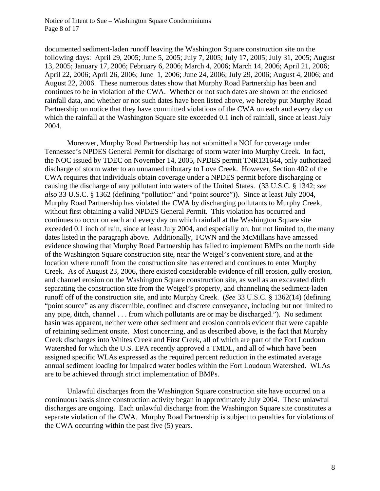Notice of Intent to Sue – Washington Square Condominiums Page 8 of 17

documented sediment-laden runoff leaving the Washington Square construction site on the following days: April 29, 2005; June 5, 2005; July 7, 2005; July 17, 2005; July 31, 2005; August 13, 2005; January 17, 2006; February 6, 2006; March 4, 2006; March 14, 2006; April 21, 2006; April 22, 2006; April 26, 2006; June 1, 2006; June 24, 2006; July 29, 2006; August 4, 2006; and August 22, 2006. These numerous dates show that Murphy Road Partnership has been and continues to be in violation of the CWA. Whether or not such dates are shown on the enclosed rainfall data, and whether or not such dates have been listed above, we hereby put Murphy Road Partnership on notice that they have committed violations of the CWA on each and every day on which the rainfall at the Washington Square site exceeded 0.1 inch of rainfall, since at least July 2004.

 Moreover, Murphy Road Partnership has not submitted a NOI for coverage under Tennessee's NPDES General Permit for discharge of storm water into Murphy Creek. In fact, the NOC issued by TDEC on November 14, 2005, NPDES permit TNR131644, only authorized discharge of storm water to an unnamed tributary to Love Creek. However, Section 402 of the CWA requires that individuals obtain coverage under a NPDES permit before discharging or causing the discharge of any pollutant into waters of the United States. (33 U.S.C. § 1342; *see also* 33 U.S.C. § 1362 (defining "pollution" and "point source")). Since at least July 2004, Murphy Road Partnership has violated the CWA by discharging pollutants to Murphy Creek, without first obtaining a valid NPDES General Permit. This violation has occurred and continues to occur on each and every day on which rainfall at the Washington Square site exceeded 0.1 inch of rain, since at least July 2004, and especially on, but not limited to, the many dates listed in the paragraph above. Additionally, TCWN and the McMillans have amassed evidence showing that Murphy Road Partnership has failed to implement BMPs on the north side of the Washington Square construction site, near the Weigel's convenient store, and at the location where runoff from the construction site has entered and continues to enter Murphy Creek. As of August 23, 2006, there existed considerable evidence of rill erosion, gully erosion, and channel erosion on the Washington Square construction site, as well as an excavated ditch separating the construction site from the Weigel's property, and channeling the sediment-laden runoff off of the construction site, and into Murphy Creek. (*See* 33 U.S.C. § 1362(14) (defining "point source" as any discernible, confined and discrete conveyance, including but not limited to any pipe, ditch, channel . . . from which pollutants are or may be discharged."). No sediment basin was apparent, neither were other sediment and erosion controls evident that were capable of retaining sediment onsite. Most concerning, and as described above, is the fact that Murphy Creek discharges into Whites Creek and First Creek, all of which are part of the Fort Loudoun Watershed for which the U.S. EPA recently approved a TMDL, and all of which have been assigned specific WLAs expressed as the required percent reduction in the estimated average annual sediment loading for impaired water bodies within the Fort Loudoun Watershed. WLAs are to be achieved through strict implementation of BMPs.

 Unlawful discharges from the Washington Square construction site have occurred on a continuous basis since construction activity began in approximately July 2004. These unlawful discharges are ongoing. Each unlawful discharge from the Washington Square site constitutes a separate violation of the CWA. Murphy Road Partnership is subject to penalties for violations of the CWA occurring within the past five (5) years.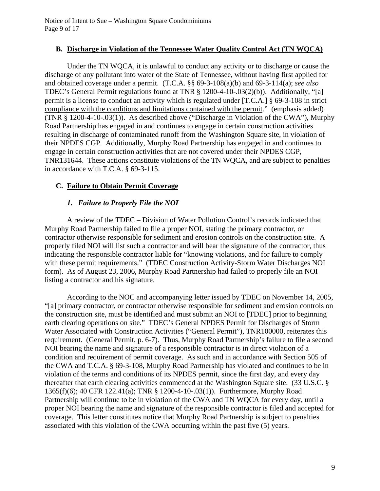# **B. Discharge in Violation of the Tennessee Water Quality Control Act (TN WQCA)**

Under the TN WQCA, it is unlawful to conduct any activity or to discharge or cause the discharge of any pollutant into water of the State of Tennessee, without having first applied for and obtained coverage under a permit. (T.C.A. §§ 69-3-108(a)(b) and 69-3-114(a); *see also* TDEC's General Permit regulations found at TNR § 1200-4-10-.03(2)(b)). Additionally, "[a] permit is a license to conduct an activity which is regulated under [T.C.A.] § 69-3-108 in strict compliance with the conditions and limitations contained with the permit." (emphasis added) (TNR § 1200-4-10-.03(1)). As described above ("Discharge in Violation of the CWA"), Murphy Road Partnership has engaged in and continues to engage in certain construction activities resulting in discharge of contaminated runoff from the Washington Square site, in violation of their NPDES CGP. Additionally, Murphy Road Partnership has engaged in and continues to engage in certain construction activities that are not covered under their NPDES CGP, TNR131644. These actions constitute violations of the TN WQCA, and are subject to penalties in accordance with T.C.A. § 69-3-115.

# **C. Failure to Obtain Permit Coverage**

# *1. Failure to Properly File the NOI*

A review of the TDEC – Division of Water Pollution Control's records indicated that Murphy Road Partnership failed to file a proper NOI, stating the primary contractor, or contractor otherwise responsible for sediment and erosion controls on the construction site. A properly filed NOI will list such a contractor and will bear the signature of the contractor, thus indicating the responsible contractor liable for "knowing violations, and for failure to comply with these permit requirements." (TDEC Construction Activity-Storm Water Discharges NOI form). As of August 23, 2006, Murphy Road Partnership had failed to properly file an NOI listing a contractor and his signature.

 According to the NOC and accompanying letter issued by TDEC on November 14, 2005, "[a] primary contractor, or contractor otherwise responsible for sediment and erosion controls on the construction site, must be identified and must submit an NOI to [TDEC] prior to beginning earth clearing operations on site." TDEC's General NPDES Permit for Discharges of Storm Water Associated with Construction Activities ("General Permit"), TNR100000, reiterates this requirement. (General Permit, p. 6-7). Thus, Murphy Road Partnership's failure to file a second NOI bearing the name and signature of a responsible contractor is in direct violation of a condition and requirement of permit coverage. As such and in accordance with Section 505 of the CWA and T.C.A. § 69-3-108, Murphy Road Partnership has violated and continues to be in violation of the terms and conditions of its NPDES permit, since the first day, and every day thereafter that earth clearing activities commenced at the Washington Square site. (33 U.S.C. § 1365(f)(6); 40 CFR 122.41(a); TNR § 1200-4-10-.03(1)). Furthermore, Murphy Road Partnership will continue to be in violation of the CWA and TN WQCA for every day, until a proper NOI bearing the name and signature of the responsible contractor is filed and accepted for coverage. This letter constitutes notice that Murphy Road Partnership is subject to penalties associated with this violation of the CWA occurring within the past five (5) years.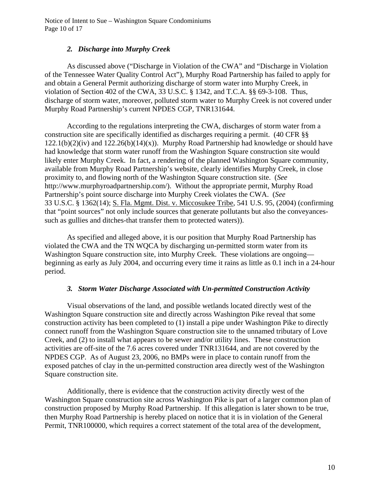Notice of Intent to Sue – Washington Square Condominiums Page 10 of 17

### *2. Discharge into Murphy Creek*

As discussed above ("Discharge in Violation of the CWA" and "Discharge in Violation of the Tennessee Water Quality Control Act"), Murphy Road Partnership has failed to apply for and obtain a General Permit authorizing discharge of storm water into Murphy Creek, in violation of Section 402 of the CWA, 33 U.S.C. § 1342, and T.C.A. §§ 69-3-108. Thus, discharge of storm water, moreover, polluted storm water to Murphy Creek is not covered under Murphy Road Partnership's current NPDES CGP, TNR131644.

According to the regulations interpreting the CWA, discharges of storm water from a construction site are specifically identified as discharges requiring a permit. (40 CFR §§  $122.1(b)(2)(iv)$  and  $122.26(b)(14)(x)$ ). Murphy Road Partnership had knowledge or should have had knowledge that storm water runoff from the Washington Square construction site would likely enter Murphy Creek. In fact, a rendering of the planned Washington Square community, available from Murphy Road Partnership's website, clearly identifies Murphy Creek, in close proximity to, and flowing north of the Washington Square construction site. (*See*  http://www.murphyroadpartnership.com/). Without the appropriate permit, Murphy Road Partnership's point source discharge into Murphy Creek violates the CWA. (*See* 33 U.S.C. § 1362(14); S. Fla. Mgmt. Dist. v. Miccosukee Tribe*,* 541 U.S. 95, (2004) (confirming that "point sources" not only include sources that generate pollutants but also the conveyancessuch as gullies and ditches-that transfer them to protected waters)).

 As specified and alleged above, it is our position that Murphy Road Partnership has violated the CWA and the TN WQCA by discharging un-permitted storm water from its Washington Square construction site, into Murphy Creek. These violations are ongoing beginning as early as July 2004, and occurring every time it rains as little as 0.1 inch in a 24-hour period.

#### *3. Storm Water Discharge Associated with Un-permitted Construction Activity*

Visual observations of the land, and possible wetlands located directly west of the Washington Square construction site and directly across Washington Pike reveal that some construction activity has been completed to (1) install a pipe under Washington Pike to directly connect runoff from the Washington Square construction site to the unnamed tributary of Love Creek, and (2) to install what appears to be sewer and/or utility lines. These construction activities are off-site of the 7.6 acres covered under TNR131644, and are not covered by the NPDES CGP. As of August 23, 2006, no BMPs were in place to contain runoff from the exposed patches of clay in the un-permitted construction area directly west of the Washington Square construction site.

Additionally, there is evidence that the construction activity directly west of the Washington Square construction site across Washington Pike is part of a larger common plan of construction proposed by Murphy Road Partnership. If this allegation is later shown to be true, then Murphy Road Partnership is hereby placed on notice that it is in violation of the General Permit, TNR100000, which requires a correct statement of the total area of the development,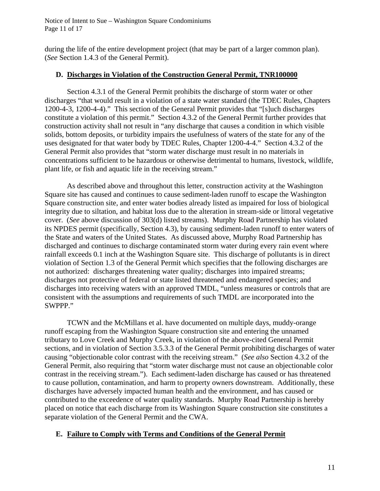Notice of Intent to Sue – Washington Square Condominiums Page 11 of 17

during the life of the entire development project (that may be part of a larger common plan). (*See* Section 1.4.3 of the General Permit).

#### **D. Discharges in Violation of the Construction General Permit, TNR100000**

Section 4.3.1 of the General Permit prohibits the discharge of storm water or other discharges "that would result in a violation of a state water standard (the TDEC Rules, Chapters 1200-4-3, 1200-4-4)." This section of the General Permit provides that "[s]uch discharges constitute a violation of this permit." Section 4.3.2 of the General Permit further provides that construction activity shall not result in "any discharge that causes a condition in which visible solids, bottom deposits, or turbidity impairs the usefulness of waters of the state for any of the uses designated for that water body by TDEC Rules, Chapter 1200-4-4." Section 4.3.2 of the General Permit also provides that "storm water discharge must result in no materials in concentrations sufficient to be hazardous or otherwise detrimental to humans, livestock, wildlife, plant life, or fish and aquatic life in the receiving stream."

As described above and throughout this letter, construction activity at the Washington Square site has caused and continues to cause sediment-laden runoff to escape the Washington Square construction site, and enter water bodies already listed as impaired for loss of biological integrity due to siltation, and habitat loss due to the alteration in stream-side or littoral vegetative cover. (*See* above discussion of 303(d) listed streams). Murphy Road Partnership has violated its NPDES permit (specifically, Section 4.3), by causing sediment-laden runoff to enter waters of the State and waters of the United States. As discussed above, Murphy Road Partnership has discharged and continues to discharge contaminated storm water during every rain event where rainfall exceeds 0.1 inch at the Washington Square site. This discharge of pollutants is in direct violation of Section 1.3 of the General Permit which specifies that the following discharges are not authorized: discharges threatening water quality; discharges into impaired streams; discharges not protective of federal or state listed threatened and endangered species; and discharges into receiving waters with an approved TMDL, "unless measures or controls that are consistent with the assumptions and requirements of such TMDL are incorporated into the SWPPP."

TCWN and the McMillans et al. have documented on multiple days, muddy-orange runoff escaping from the Washington Square construction site and entering the unnamed tributary to Love Creek and Murphy Creek, in violation of the above-cited General Permit sections, and in violation of Section 3.5.3.3 of the General Permit prohibiting discharges of water causing "objectionable color contrast with the receiving stream." (*See also* Section 4.3.2 of the General Permit, also requiring that "storm water discharge must not cause an objectionable color contrast in the receiving stream."). Each sediment-laden discharge has caused or has threatened to cause pollution, contamination, and harm to property owners downstream. Additionally, these discharges have adversely impacted human health and the environment, and has caused or contributed to the exceedence of water quality standards. Murphy Road Partnership is hereby placed on notice that each discharge from its Washington Square construction site constitutes a separate violation of the General Permit and the CWA.

# **E. Failure to Comply with Terms and Conditions of the General Permit**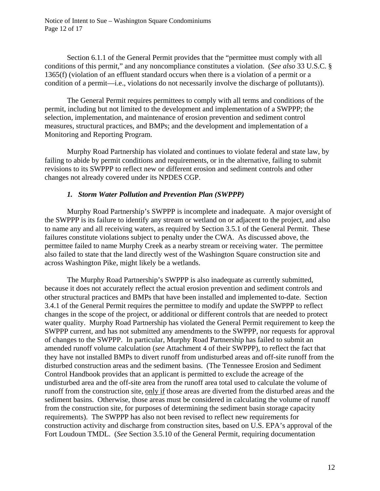Notice of Intent to Sue – Washington Square Condominiums Page 12 of 17

Section 6.1.1 of the General Permit provides that the "permittee must comply with all conditions of this permit," and any noncompliance constitutes a violation. (*See also* 33 U.S.C. § 1365(f) (violation of an effluent standard occurs when there is a violation of a permit or a condition of a permit—i.e., violations do not necessarily involve the discharge of pollutants)).

 The General Permit requires permittees to comply with all terms and conditions of the permit, including but not limited to the development and implementation of a SWPPP; the selection, implementation, and maintenance of erosion prevention and sediment control measures, structural practices, and BMPs; and the development and implementation of a Monitoring and Reporting Program.

 Murphy Road Partnership has violated and continues to violate federal and state law, by failing to abide by permit conditions and requirements, or in the alternative, failing to submit revisions to its SWPPP to reflect new or different erosion and sediment controls and other changes not already covered under its NPDES CGP.

#### *1. Storm Water Pollution and Prevention Plan (SWPPP)*

 Murphy Road Partnership's SWPPP is incomplete and inadequate. A major oversight of the SWPPP is its failure to identify any stream or wetland on or adjacent to the project, and also to name any and all receiving waters, as required by Section 3.5.1 of the General Permit. These failures constitute violations subject to penalty under the CWA. As discussed above, the permittee failed to name Murphy Creek as a nearby stream or receiving water. The permittee also failed to state that the land directly west of the Washington Square construction site and across Washington Pike, might likely be a wetlands.

The Murphy Road Partnership's SWPPP is also inadequate as currently submitted, because it does not accurately reflect the actual erosion prevention and sediment controls and other structural practices and BMPs that have been installed and implemented to-date. Section 3.4.1 of the General Permit requires the permittee to modify and update the SWPPP to reflect changes in the scope of the project, or additional or different controls that are needed to protect water quality. Murphy Road Partnership has violated the General Permit requirement to keep the SWPPP current, and has not submitted any amendments to the SWPPP, nor requests for approval of changes to the SWPPP. In particular, Murphy Road Partnership has failed to submit an amended runoff volume calculation (*see* Attachment 4 of their SWPPP), to reflect the fact that they have not installed BMPs to divert runoff from undisturbed areas and off-site runoff from the disturbed construction areas and the sediment basins. (The Tennessee Erosion and Sediment Control Handbook provides that an applicant is permitted to exclude the acreage of the undisturbed area and the off-site area from the runoff area total used to calculate the volume of runoff from the construction site, only if those areas are diverted from the disturbed areas and the sediment basins. Otherwise, those areas must be considered in calculating the volume of runoff from the construction site, for purposes of determining the sediment basin storage capacity requirements). The SWPPP has also not been revised to reflect new requirements for construction activity and discharge from construction sites, based on U.S. EPA's approval of the Fort Loudoun TMDL. (*See* Section 3.5.10 of the General Permit, requiring documentation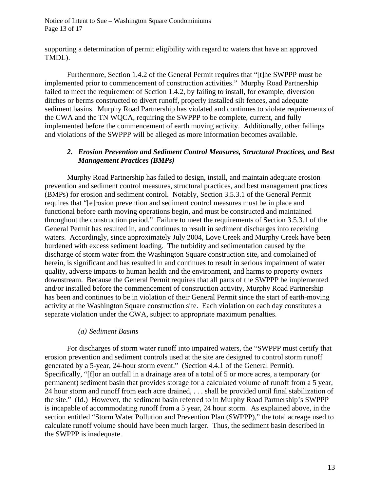Notice of Intent to Sue – Washington Square Condominiums Page 13 of 17

supporting a determination of permit eligibility with regard to waters that have an approved TMDL).

 Furthermore, Section 1.4.2 of the General Permit requires that "[t]he SWPPP must be implemented prior to commencement of construction activities." Murphy Road Partnership failed to meet the requirement of Section 1.4.2, by failing to install, for example, diversion ditches or berms constructed to divert runoff, properly installed silt fences, and adequate sediment basins. Murphy Road Partnership has violated and continues to violate requirements of the CWA and the TN WQCA, requiring the SWPPP to be complete, current, and fully implemented before the commencement of earth moving activity. Additionally, other failings and violations of the SWPPP will be alleged as more information becomes available.

### *2. Erosion Prevention and Sediment Control Measures, Structural Practices, and Best Management Practices (BMPs)*

Murphy Road Partnership has failed to design, install, and maintain adequate erosion prevention and sediment control measures, structural practices, and best management practices (BMPs) for erosion and sediment control. Notably, Section 3.5.3.1 of the General Permit requires that "[e]rosion prevention and sediment control measures must be in place and functional before earth moving operations begin, and must be constructed and maintained throughout the construction period." Failure to meet the requirements of Section 3.5.3.1 of the General Permit has resulted in, and continues to result in sediment discharges into receiving waters. Accordingly, since approximately July 2004, Love Creek and Murphy Creek have been burdened with excess sediment loading. The turbidity and sedimentation caused by the discharge of storm water from the Washington Square construction site, and complained of herein, is significant and has resulted in and continues to result in serious impairment of water quality, adverse impacts to human health and the environment, and harms to property owners downstream. Because the General Permit requires that all parts of the SWPPP be implemented and/or installed before the commencement of construction activity, Murphy Road Partnership has been and continues to be in violation of their General Permit since the start of earth-moving activity at the Washington Square construction site. Each violation on each day constitutes a separate violation under the CWA, subject to appropriate maximum penalties.

#### *(a) Sediment Basins*

For discharges of storm water runoff into impaired waters, the "SWPPP must certify that erosion prevention and sediment controls used at the site are designed to control storm runoff generated by a 5-year, 24-hour storm event." (Section 4.4.1 of the General Permit). Specifically, "[f]or an outfall in a drainage area of a total of 5 or more acres, a temporary (or permanent) sediment basin that provides storage for a calculated volume of runoff from a 5 year, 24 hour storm and runoff from each acre drained, . . . shall be provided until final stabilization of the site." (Id.) However, the sediment basin referred to in Murphy Road Partnership's SWPPP is incapable of accommodating runoff from a 5 year, 24 hour storm. As explained above, in the section entitled "Storm Water Pollution and Prevention Plan (SWPPP)," the total acreage used to calculate runoff volume should have been much larger. Thus, the sediment basin described in the SWPPP is inadequate.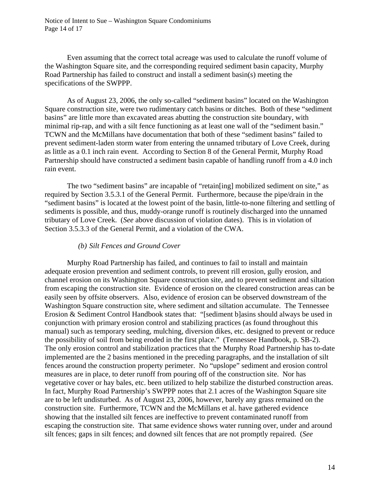Even assuming that the correct total acreage was used to calculate the runoff volume of the Washington Square site, and the corresponding required sediment basin capacity, Murphy Road Partnership has failed to construct and install a sediment basin(s) meeting the specifications of the SWPPP.

 As of August 23, 2006, the only so-called "sediment basins" located on the Washington Square construction site, were two rudimentary catch basins or ditches. Both of these "sediment basins" are little more than excavated areas abutting the construction site boundary, with minimal rip-rap, and with a silt fence functioning as at least one wall of the "sediment basin." TCWN and the McMillans have documentation that both of these "sediment basins" failed to prevent sediment-laden storm water from entering the unnamed tributary of Love Creek, during as little as a 0.1 inch rain event. According to Section 8 of the General Permit, Murphy Road Partnership should have constructed a sediment basin capable of handling runoff from a 4.0 inch rain event.

 The two "sediment basins" are incapable of "retain[ing] mobilized sediment on site," as required by Section 3.5.3.1 of the General Permit. Furthermore, because the pipe/drain in the "sediment basins" is located at the lowest point of the basin, little-to-none filtering and settling of sediments is possible, and thus, muddy-orange runoff is routinely discharged into the unnamed tributary of Love Creek. (*See* above discussion of violation dates). This is in violation of Section 3.5.3.3 of the General Permit, and a violation of the CWA.

#### *(b) Silt Fences and Ground Cover*

Murphy Road Partnership has failed, and continues to fail to install and maintain adequate erosion prevention and sediment controls, to prevent rill erosion, gully erosion, and channel erosion on its Washington Square construction site, and to prevent sediment and siltation from escaping the construction site. Evidence of erosion on the cleared construction areas can be easily seen by offsite observers. Also, evidence of erosion can be observed downstream of the Washington Square construction site, where sediment and siltation accumulate. The Tennessee Erosion & Sediment Control Handbook states that: "[sediment b]asins should always be used in conjunction with primary erosion control and stabilizing practices (as found throughout this manual) such as temporary seeding, mulching, diversion dikes, etc. designed to prevent or reduce the possibility of soil from being eroded in the first place." (Tennessee Handbook, p. SB-2). The only erosion control and stabilization practices that the Murphy Road Partnership has to-date implemented are the 2 basins mentioned in the preceding paragraphs, and the installation of silt fences around the construction property perimeter. No "upslope" sediment and erosion control measures are in place, to deter runoff from pouring off of the construction site. Nor has vegetative cover or hay bales, etc. been utilized to help stabilize the disturbed construction areas. In fact, Murphy Road Partnership's SWPPP notes that 2.1 acres of the Washington Square site are to be left undisturbed. As of August 23, 2006, however, barely any grass remained on the construction site. Furthermore, TCWN and the McMillans et al. have gathered evidence showing that the installed silt fences are ineffective to prevent contaminated runoff from escaping the construction site. That same evidence shows water running over, under and around silt fences; gaps in silt fences; and downed silt fences that are not promptly repaired. (*See*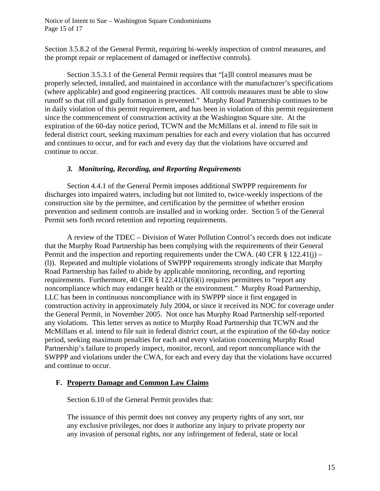Notice of Intent to Sue – Washington Square Condominiums Page 15 of 17

Section 3.5.8.2 of the General Permit, requiring bi-weekly inspection of control measures, and the prompt repair or replacement of damaged or ineffective controls).

Section 3.5.3.1 of the General Permit requires that "[a]ll control measures must be properly selected, installed, and maintained in accordance with the manufacturer's specifications (where applicable) and good engineering practices. All controls measures must be able to slow runoff so that rill and gully formation is prevented." Murphy Road Partnership continues to be in daily violation of this permit requirement, and has been in violation of this permit requirement since the commencement of construction activity at the Washington Square site. At the expiration of the 60-day notice period, TCWN and the McMillans et al. intend to file suit in federal district court, seeking maximum penalties for each and every violation that has occurred and continues to occur, and for each and every day that the violations have occurred and continue to occur.

#### *3. Monitoring, Recording, and Reporting Requirements*

Section 4.4.1 of the General Permit imposes additional SWPPP requirements for discharges into impaired waters, including but not limited to, twice-weekly inspections of the construction site by the permittee, and certification by the permittee of whether erosion prevention and sediment controls are installed and in working order. Section 5 of the General Permit sets forth record retention and reporting requirements.

 A review of the TDEC – Division of Water Pollution Control's records does not indicate that the Murphy Road Partnership has been complying with the requirements of their General Permit and the inspection and reporting requirements under the CWA.  $(40 \text{ CFR } \text{\&} 122.41(i) -$ (l)). Repeated and multiple violations of SWPPP requirements strongly indicate that Murphy Road Partnership has failed to abide by applicable monitoring, recording, and reporting requirements. Furthermore, 40 CFR  $\S$  122.41(1)(6)(i) requires permittees to "report any noncompliance which may endanger health or the environment." Murphy Road Partnership, LLC has been in continuous noncompliance with its SWPPP since it first engaged in construction activity in approximately July 2004, or since it received its NOC for coverage under the General Permit, in November 2005. Not once has Murphy Road Partnership self-reported any violations. This letter serves as notice to Murphy Road Partnership that TCWN and the McMillans et al. intend to file suit in federal district court, at the expiration of the 60-day notice period, seeking maximum penalties for each and every violation concerning Murphy Road Partnership's failure to properly inspect, monitor, record, and report noncompliance with the SWPPP and violations under the CWA, for each and every day that the violations have occurred and continue to occur.

# **F. Property Damage and Common Law Claims**

Section 6.10 of the General Permit provides that:

The issuance of this permit does not convey any property rights of any sort, nor any exclusive privileges, nor does it authorize any injury to private property nor any invasion of personal rights, nor any infringement of federal, state or local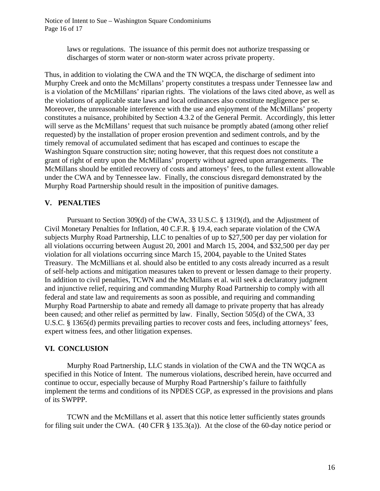laws or regulations. The issuance of this permit does not authorize trespassing or discharges of storm water or non-storm water across private property.

Thus, in addition to violating the CWA and the TN WQCA, the discharge of sediment into Murphy Creek and onto the McMillans' property constitutes a trespass under Tennessee law and is a violation of the McMillans' riparian rights. The violations of the laws cited above, as well as the violations of applicable state laws and local ordinances also constitute negligence per se. Moreover, the unreasonable interference with the use and enjoyment of the McMillans' property constitutes a nuisance, prohibited by Section 4.3.2 of the General Permit. Accordingly, this letter will serve as the McMillans' request that such nuisance be promptly abated (among other relief requested) by the installation of proper erosion prevention and sediment controls, and by the timely removal of accumulated sediment that has escaped and continues to escape the Washington Square construction site; noting however, that this request does not constitute a grant of right of entry upon the McMillans' property without agreed upon arrangements. The McMillans should be entitled recovery of costs and attorneys' fees, to the fullest extent allowable under the CWA and by Tennessee law. Finally, the conscious disregard demonstrated by the Murphy Road Partnership should result in the imposition of punitive damages.

# **V. PENALTIES**

Pursuant to Section 309(d) of the CWA, 33 U.S.C. § 1319(d), and the Adjustment of Civil Monetary Penalties for Inflation, 40 C.F.R. § 19.4, each separate violation of the CWA subjects Murphy Road Partnership, LLC to penalties of up to \$27,500 per day per violation for all violations occurring between August 20, 2001 and March 15, 2004, and \$32,500 per day per violation for all violations occurring since March 15, 2004, payable to the United States Treasury. The McMillians et al. should also be entitled to any costs already incurred as a result of self-help actions and mitigation measures taken to prevent or lessen damage to their property. In addition to civil penalties, TCWN and the McMillans et al. will seek a declaratory judgment and injunctive relief, requiring and commanding Murphy Road Partnership to comply with all federal and state law and requirements as soon as possible, and requiring and commanding Murphy Road Partnership to abate and remedy all damage to private property that has already been caused; and other relief as permitted by law. Finally, Section 505(d) of the CWA, 33 U.S.C. § 1365(d) permits prevailing parties to recover costs and fees, including attorneys' fees, expert witness fees, and other litigation expenses.

# **VI. CONCLUSION**

 Murphy Road Partnership, LLC stands in violation of the CWA and the TN WQCA as specified in this Notice of Intent. The numerous violations, described herein, have occurred and continue to occur, especially because of Murphy Road Partnership's failure to faithfully implement the terms and conditions of its NPDES CGP, as expressed in the provisions and plans of its SWPPP.

TCWN and the McMillans et al. assert that this notice letter sufficiently states grounds for filing suit under the CWA. (40 CFR § 135.3(a)). At the close of the 60-day notice period or